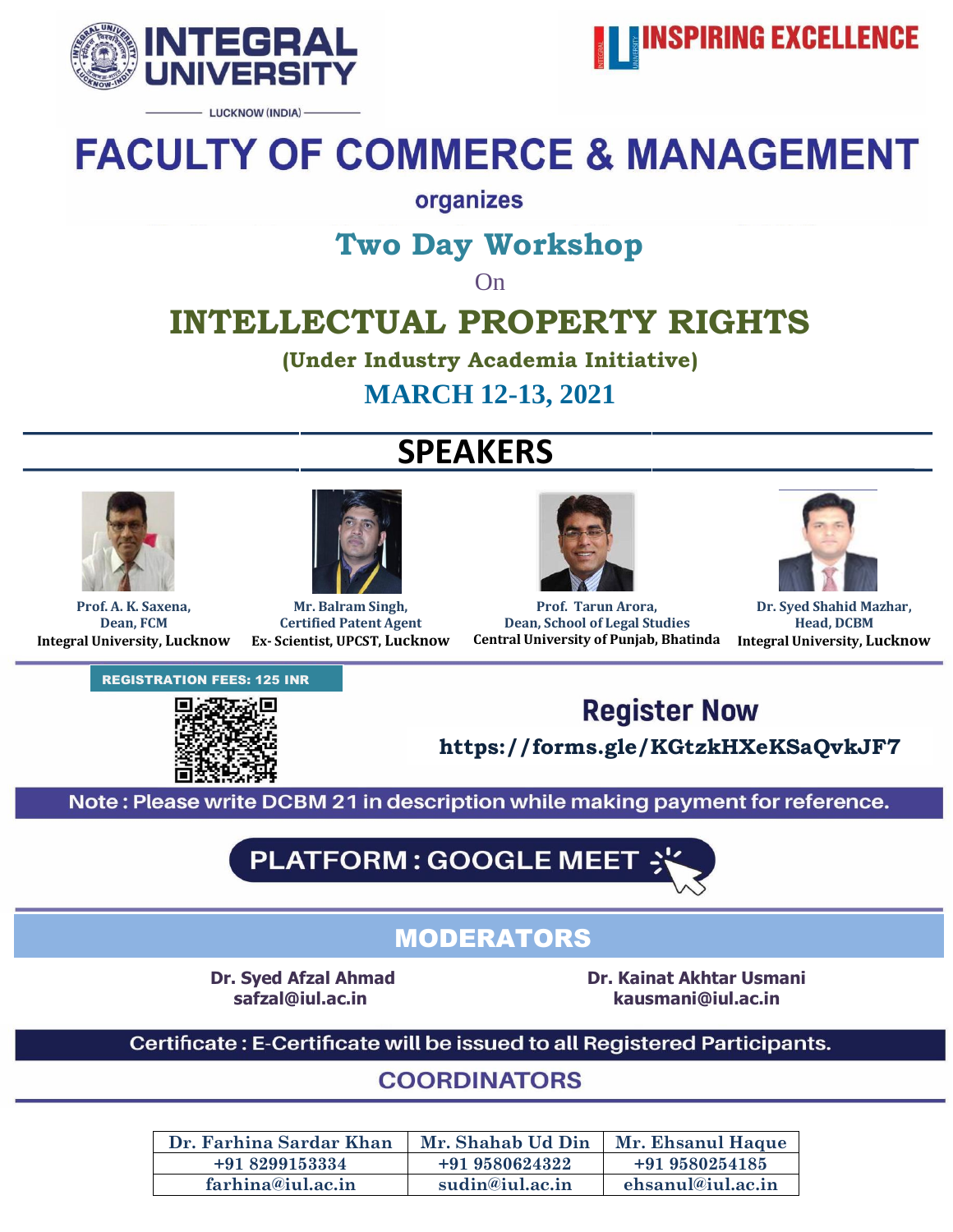

- LUCKNOW (INDIA) -



# **FACULTY OF COMMERCE & MANAGEMENT**

### organizes

## **Two Day Workshop**

On

# **INTELLECTUAL PROPERTY RIGHTS**

**(Under Industry Academia Initiative)**

**MARCH 12-13, 2021**

# **SPEAKERS**





**Prof. A. K. Saxena, Dean, FCM Integral University, Lucknow**

**Mr. Balram Singh, Certified Patent Agent Ex- Scientist, UPCST, Lucknow**



**Prof. Tarun Arora, Dean, School of Legal Studies Central University of Punjab, Bhatinda**

**Lucknow**



**Dr. Syed Shahid Mazhar, Head, DCBM Integral University, Lucknow**

REGISTRATION FEES: 125 INR





**https://forms.gle/KGtzkHXeKSaQvkJF7**

Note: Please write DCBM 21 in description while making payment for reference.

**PLATFORM: GOOGLE MEET** 

### MODERATORS

**Dr. Syed Afzal Ahmad Dr. Kainat Akhtar Usmani safzal@iul.ac.in kausmani@iul.ac.in**

Certificate: E-Certificate will be issued to all Registered Participants.

**COORDINATORS** 

| Dr. Farhina Sardar Khan | Mr. Shahab Ud Din | Mr. Ehsanul Haque |
|-------------------------|-------------------|-------------------|
| +91 8299153334          | +91 9580624322    | +91 9580254185    |
| farhina@iul.ac.in       | sudin@iul.ac.in   | ehsanul@iul.ac.in |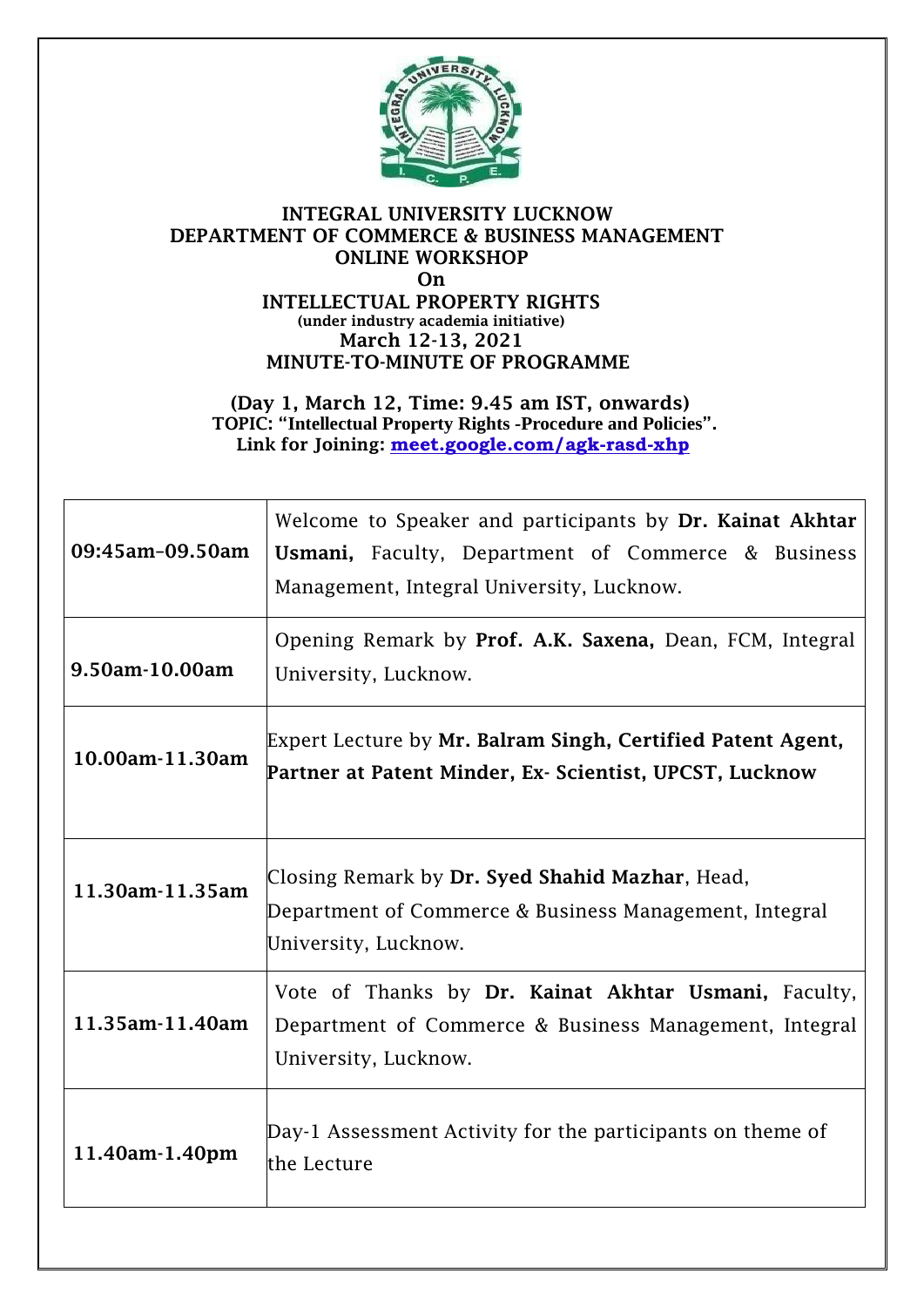

#### **INTEGRAL UNIVERSITY LUCKNOW DEPARTMENT OF COMMERCE & BUSINESS MANAGEMENT ONLINE WORKSHOP On INTELLECTUAL PROPERTY RIGHTS (under industry academia initiative) March 12-13, 2021**

**MINUTE-TO-MINUTE OF PROGRAMME (Day 1, March 12, Time: 9.45 am IST, onwards)**

**TOPIC: "Intellectual Property Rights -Procedure and Policies". Link for Joining: [meet.google.com/agk-rasd-xhp](https://meet.google.com/agk-rasd-xhp?hs=224)**

| 09:45am-09.50am | Welcome to Speaker and participants by Dr. Kainat Akhtar<br><b>Usmani,</b> Faculty, Department of Commerce & Business<br>Management, Integral University, Lucknow. |
|-----------------|--------------------------------------------------------------------------------------------------------------------------------------------------------------------|
| 9.50am-10.00am  | Opening Remark by Prof. A.K. Saxena, Dean, FCM, Integral<br>University, Lucknow.                                                                                   |
| 10.00am-11.30am | Expert Lecture by Mr. Balram Singh, Certified Patent Agent,<br>Partner at Patent Minder, Ex- Scientist, UPCST, Lucknow                                             |
| 11.30am-11.35am | Closing Remark by Dr. Syed Shahid Mazhar, Head,<br>Department of Commerce & Business Management, Integral<br>University, Lucknow.                                  |
| 11.35am-11.40am | Vote of Thanks by Dr. Kainat Akhtar Usmani, Faculty,<br>Department of Commerce & Business Management, Integral<br>University, Lucknow.                             |
| 11.40am-1.40pm  | Day-1 Assessment Activity for the participants on theme of<br>lthe Lecture                                                                                         |